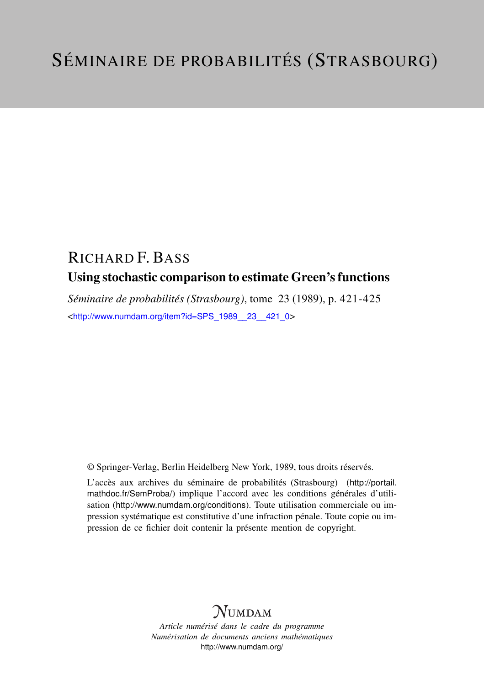## RICHARD F. BASS Using stochastic comparison to estimate Green's functions

*Séminaire de probabilités (Strasbourg)*, tome 23 (1989), p. 421-425 <[http://www.numdam.org/item?id=SPS\\_1989\\_\\_23\\_\\_421\\_0](http://www.numdam.org/item?id=SPS_1989__23__421_0)>

© Springer-Verlag, Berlin Heidelberg New York, 1989, tous droits réservés.

L'accès aux archives du séminaire de probabilités (Strasbourg) ([http://portail.](http://portail.mathdoc.fr/SemProba/) [mathdoc.fr/SemProba/](http://portail.mathdoc.fr/SemProba/)) implique l'accord avec les conditions générales d'utilisation (<http://www.numdam.org/conditions>). Toute utilisation commerciale ou impression systématique est constitutive d'une infraction pénale. Toute copie ou impression de ce fichier doit contenir la présente mention de copyright.

## **NUMDAM**

*Article numérisé dans le cadre du programme Numérisation de documents anciens mathématiques* <http://www.numdam.org/>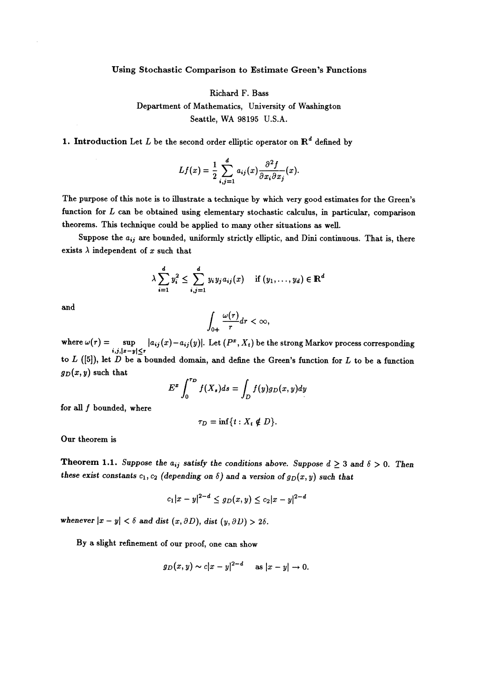## Using Stochastic Comparison to Estimate Green's Functions

Richard F. Bass Department of Mathematics, University of Washington Seattle, WA 98195 U.S.A.

1. Introduction Let L be the second order elliptic operator on  $\mathbb{R}^d$  defined by

$$
Lf(x) = \frac{1}{2} \sum_{i,j=1}^{d} a_{ij}(x) \frac{\partial^2 f}{\partial x_i \partial x_j}(x).
$$

The purpose of this note is to illustrate a technique by which very good estimates for the Green's function for  $L$  can be obtained using elementary stochastic calculus, in particular, comparison theorems. This technique could be applied to many other situations as well.

Suppose the  $a_{ij}$  are bounded, uniformly strictly elliptic, and Dini continuous. That is, there exists  $\lambda$  independent of x such that

$$
\lambda \sum_{i=1}^d y_i^2 \leq \sum_{i,j=1}^d y_i y_j a_{ij}(x) \quad \text{if } (y_1,\ldots,y_d) \in \mathbb{R}^d
$$

and

$$
\int_{0+}\frac{\omega(r)}{r}dr<\infty,
$$

where  $\omega(r) = \sup_{i,j,|x-y| \le r} |a_{ij}(x)-a_{ij}(y)|$ . Let  $(P^x, X_t)$  be the strong Markov process corresponding to  $L$  ([5]), let  $D$  be a bounded domain, and define the Green's function for  $L$  to be a function  $g_D(x, y)$  such that

$$
E^x \int_0^{\tau_D} f(X_s) ds = \int_D f(y) g_D(x, y) dy
$$

for all  $f$  bounded, where

$$
\tau_D=\inf\{t:X_t\notin D\}.
$$

Our theorem is

**Theorem 1.1.** Suppose the  $a_{ij}$  satisfy the conditions above. Suppose  $d \geq 3$  and  $\delta > 0$ . Then these exist constants  $c_1, c_2$  (depending on  $\delta$ ) and a version of  $g_D(x, y)$  such that

$$
c_1|x-y|^{2-d} \le g_D(x,y) \le c_2|x-y|^{2-d}
$$

whenever  $|x - y| < \delta$  and dist  $(x, \partial D)$ , dist  $(y, \partial D) > 2\delta$ .

By a slight refinement of our proof, one can show

$$
g_D(x, y) \sim c|x-y|^{2-d}
$$
 as  $|x-y| \to 0$ .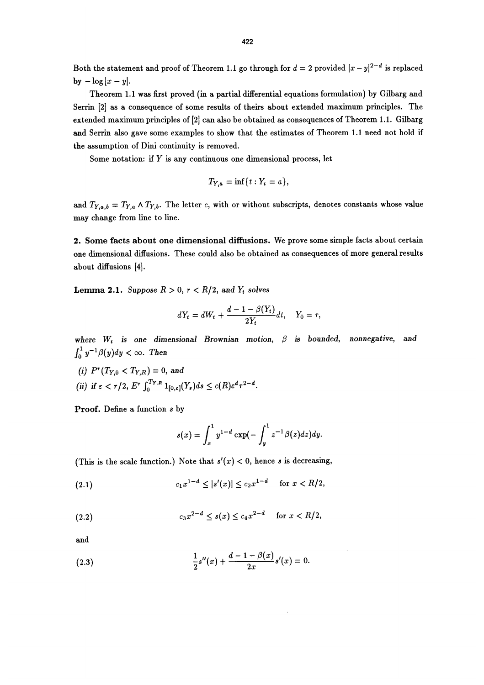Both the statement and proof of Theorem 1.1 go through for  $d = 2$  provided  $|x - y|^{2-d}$  is replaced by  $-\log |x - y|$ .

Theorem 1.1 was first proved (in a partial differential equations formulation) by Gilbarg and Serrin [2] as a consequence of some results of theirs about extended maximum principles. The extended maximum principles of [2] can also be obtained as consequences of Theorem 1.1. Gilbarg and Serrin also gave some examples to show that the estimates of Theorem 1.1 need not hold if the assumption of Dini continuity is removed.

Some notation: if  $Y$  is any continuous one dimensional process, let

$$
T_{Y,a}=\inf\{t:Y_t=a\},\
$$

and  $T_{Y,a,b} = T_{Y,a} \wedge T_{Y,b}$ . The letter c, with or without subscripts, denotes constants whose value may change from line to line.

2. Some facts about one dimensional diffusions. We prove some simple facts about certain one dimensional diffusions. These could also be obtained as consequences of more general results about diffusions [4].

**Lemma 2.1.** Suppose  $R > 0$ ,  $r < R/2$ , and  $Y_t$  solves

$$
dY_t = dW_t + \frac{d-1-\beta(Y_t)}{2Y_t}dt, \quad Y_0 = r
$$

where  $W_t$  is one dimensional Brownian motion,  $\beta$  is bounded, nonnegative, and  $\int_0^1 y^{-1}\beta(y)dy < \infty$ . Then

 $\mathcal{L}$ if  $\varepsilon < r/2, \, E^{\tau}$  .

Proof. Define a function s by

$$
s(x)=\int_x^1 y^{1-d}\exp(-\int_y^1 z^{-1}\beta(z)dz)dy.
$$

(This is the scale function.) Note that  $s'(x) < 0$ , hence s is decreasing,

(2.1) 
$$
c_1 x^{1-d} \le |s'(x)| \le c_2 x^{1-d} \quad \text{for } x < R/2,
$$

(2.2) 
$$
c_3 x^{2-d} \le s(x) \le c_4 x^{2-d} \quad \text{for } x < R/2,
$$

and

(2.3) 
$$
\frac{1}{2}s''(x) + \frac{d-1-\beta(x)}{2x}s'(x) = 0.
$$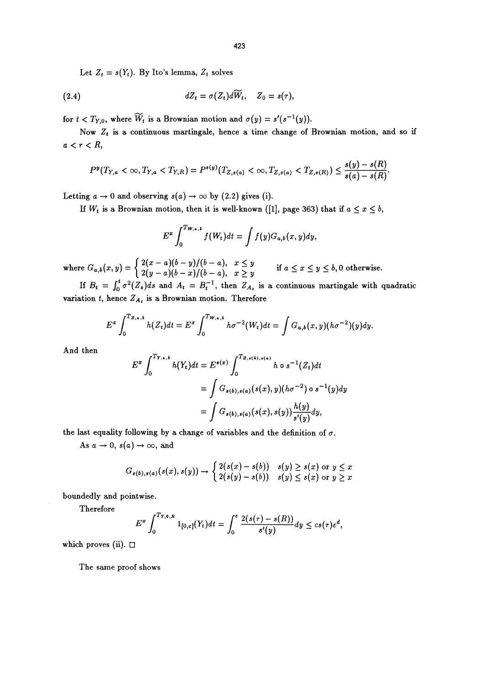Let  $Z_t = s(Y_t)$ . By Ito's lemma,  $Z_t$  solves

(2.4) 
$$
dZ_t = \sigma(Z_t)d\widetilde{W}_t, \quad Z_0 = s(r),
$$

for  $t < T_{Y,0}$ , where  $\widetilde{W}_t$  is a Brownian motion and  $\sigma(y) = s'(s^{-1}(y)).$ 

Now  $Z_t$  is a continuous martingale, hence a time change of Brownian motion, and so if  $a < r < R$ ,

$$
P^{y}(T_{Y,a} < \infty, T_{Y,a} < T_{Y,R}) = P^{s(y)}(T_{Z,s(a)} < \infty, T_{Z,s(a)} < T_{Z,s(R)}) \leq \frac{s(y) - s(R)}{s(a) - s(R)}
$$

Letting  $a \to 0$  and observing  $s(a) \to \infty$  by (2.2) gives (i).

If  $W_t$  is a Brownian motion, then it is well-known ([1], page 363) that if  $a \le x \le b$ ,

$$
E^x \int_0^{Tw_{,a,b}} f(W_t) dt = \int f(y) G_{a,b}(x,y) dy,
$$

where  $G_{a,b}(x,y) = \begin{cases} \frac{1}{2(y-a)(b-x)/(b-a)}, & x \ge y \end{cases}$  if  $a \le x \le y \le b, 0$  otherwise.

If  $B_t = \int_0^t \sigma^2(Z_s)ds$  and  $A_t = B_t^{-1}$ , then  $Z_{A_t}$  is a continuous martingale with quadratic variation t, hence  $Z_{A_t}$  is a Brownian motion. Therefore

$$
E^x \int_0^{T_{Z,a,b}} h(Z_t) dt = E^x \int_0^{T_{W,a,b}} h \sigma^{-2}(W_t) dt = \int G_{a,b}(x,y) (h \sigma^{-2})(y) dy.
$$

And then

$$
E^x \int_0^{T_{Y,\bullet,\bullet}} h(Y_t) dt = E^{s(x)} \int_0^{T_{Z,\bullet(\bullet),\bullet(\bullet)}} h \circ s^{-1}(Z_t) dt
$$
  
= 
$$
\int G_{s(b),s(a)}(s(x),y)(h\sigma^{-2}) \circ s^{-1}(y) dy
$$
  
= 
$$
\int G_{s(b),s(a)}(s(x),s(y)) \frac{h(y)}{s'(y)} dy,
$$

the last equality following by a change of variables and the definition of  $\sigma$ .

As  $a \to 0$ ,  $s(a) \to \infty$ , and

$$
G_{s(b),s(a)}(s(x),s(y)) \rightarrow \begin{cases} 2(s(x)-s(b)) & s(y) \geq s(x) \text{ or } y \leq x \\ 2(s(y)-s(b)) & s(y) \leq s(x) \text{ or } y \geq x \end{cases}
$$

boundedly and pointwise.

Therefore

$$
E^x \int_0^{T_{Y,0,R}} 1_{[0,\varepsilon]}(Y_t) dt = \int_0^{\varepsilon} \frac{2(s(\tau)-s(R))}{s'(y)} dy \leq c s(\tau) \varepsilon^d,
$$

which proves (ii).  $\square$ 

The same proof shows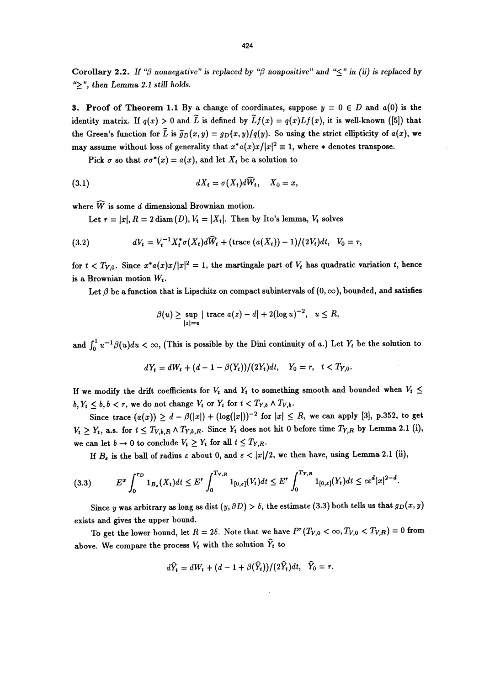Corollary 2.2. If " $\beta$  nonnegative" is replaced by " $\beta$  nonpositive" and " $\leq$ " in (ii) is replaced by ">", then Lemma 2.1 still holds.

3. Proof of Theorem 1.1 By a change of coordinates, suppose  $y = 0 \in D$  and  $a(0)$  is the identity matrix. If  $q(x) > 0$  and  $\tilde{L}$  is defined by  $\tilde{L} f(x) = q(x)Lf(x)$ , it is well-known ([5]) that the Green's function for  $\tilde{L}$  is  $\tilde{g}_D(x,y) = g_D(x,y)/q(y)$ . So using the strict ellipticity of  $a(x)$ , we may assume without loss of generality that  $x^* a(x)x/|x|^2 \equiv 1$ , where  $*$  denotes transpose.

Pick  $\sigma$  so that  $\sigma \sigma^*(x) = a(x)$ , and let  $X_t$  be a solution to

(3.1) 
$$
dX_t = \sigma(X_t)d\widehat{W}_t, \quad X_0 = x,
$$

where  $\widehat{W}$  is some d dimensional Brownian motion.

Let  $r = |x|, R = 2 \text{ diam}(D), V_t = |X_t|$ . Then by Ito's lemma,  $V_t$  solves

(3.2) 
$$
dV_t = V_t^{-1} X_t^* \sigma(X_t) d\widehat{W}_t + (\text{trace } (a(X_t)) - 1)/(2V_t) dt, \quad V_0 = r,
$$

for  $t < T_{V,0}$ . Since  $x^* a(x)x/|x|^2 = 1$ , the martingale part of  $V_t$  has quadratic variation t, hence is a Brownian motion  $W_t$ .

Let  $\beta$  be a function that is Lipschitz on compact subintervals of  $(0, \infty)$ , bounded, and satisfies

$$
\beta(u) \ge \sup_{|z|=u} |\,\, \text{trace } a(z) - d| + 2(\log u)^{-2}, \, u \le R,
$$

and  $\int_0^1 u^{-1}\beta(u)du < \infty$ , (This is possible by the Dini continuity of a.) Let  $Y_t$  be the solution to

$$
dY_t = dW_t + (d-1-\beta(Y_t))/(2Y_t)dt, \quad Y_0 = r, \quad t < T_{Y,0}.
$$

If we modify the drift coefficients for  $V_t$  and  $Y_t$  to something smooth and bounded when  $V_t \leq$  $b, Y_t \leq b, b < r$ , we do not change  $V_t$  or  $Y_t$  for  $t < T_{Y,b} \wedge T_{V,b}$ .

Since trace  $(a(x)) \ge d - \beta(|x|) + (\log(|x|))^{-2}$  for  $|x| \le R$ , we can apply [3], p.352, to get  $V_t \geq Y_t$ , a.s. for  $t \leq T_{V,b,R} \wedge T_{Y,b,R}$ . Since  $Y_t$  does not hit 0 before time  $T_{Y,R}$  by Lemma 2.1 (i), we can let  $b \to 0$  to conclude  $V_t \geq Y_t$  for all  $t \leq T_{Y,R}$ .

If  $B_{\varepsilon}$  is the ball of radius  $\varepsilon$  about 0, and  $\varepsilon < |x|/2$ , we then have, using Lemma 2.1 (ii),

$$
(3.3) \tE^x \int_0^{\tau_D} 1_{B_{\epsilon}}(X_t) dt \le E^r \int_0^{T_{V,R}} 1_{[0,\epsilon]}(V_t) dt \le E^r \int_0^{T_{Y,R}} 1_{[0,\epsilon]}(Y_t) dt \le c\epsilon^d |x|^{2-d}.
$$

Since y was arbitrary as long as dist  $(y, \partial D) > \delta$ , the estimate (3.3) both tells us that  $g_D(x, y)$ exists and gives the upper bound.

To get the lower bound, let  $R = 2\delta$ . Note that we have  $P^r(T_{V,0} < \infty, T_{V,0} < T_{V,R}) = 0$  from above. We compare the process  $V_t$  with the solution  $\hat{Y}_t$  to

$$
d\widehat{Y}_t = dW_t + (d-1+\beta(\widehat{Y}_t))/(2\widehat{Y}_t)dt, \quad \widehat{Y}_0 = r.
$$